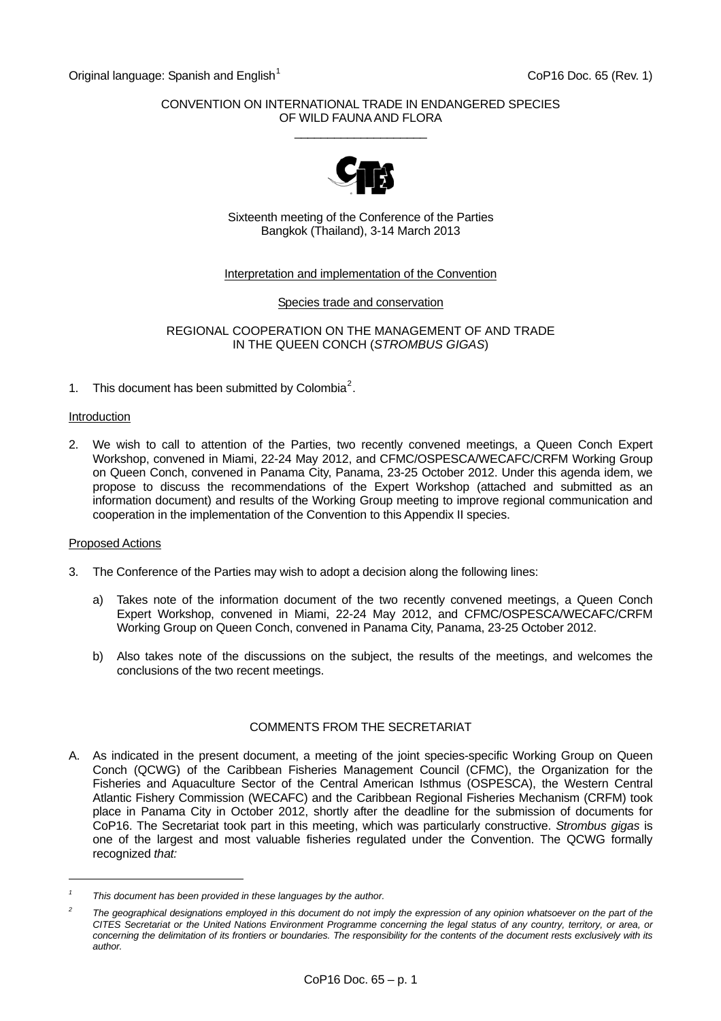Original language: Spanish and English<sup>[1](#page-0-0)</sup> CoP16 Doc. 65 (Rev. 1)

### CONVENTION ON INTERNATIONAL TRADE IN ENDANGERED SPECIES OF WILD FAUNA AND FLORA  $\_$



Sixteenth meeting of the Conference of the Parties Bangkok (Thailand), 3-14 March 2013

## Interpretation and implementation of the Convention

Species trade and conservation

REGIONAL COOPERATION ON THE MANAGEMENT OF AND TRADE IN THE QUEEN CONCH (*STROMBUS GIGAS*)

1. This document has been submitted by Colombia<sup>[2](#page-0-1)</sup>.

#### **Introduction**

2. We wish to call to attention of the Parties, two recently convened meetings, a Queen Conch Expert Workshop, convened in Miami, 22-24 May 2012, and CFMC/OSPESCA/WECAFC/CRFM Working Group on Queen Conch, convened in Panama City, Panama, 23-25 October 2012. Under this agenda idem, we propose to discuss the recommendations of the Expert Workshop (attached and submitted as an information document) and results of the Working Group meeting to improve regional communication and cooperation in the implementation of the Convention to this Appendix II species.

#### Proposed Actions

l

- 3. The Conference of the Parties may wish to adopt a decision along the following lines:
	- a) Takes note of the information document of the two recently convened meetings, a Queen Conch Expert Workshop, convened in Miami, 22-24 May 2012, and CFMC/OSPESCA/WECAFC/CRFM Working Group on Queen Conch, convened in Panama City, Panama, 23-25 October 2012.
	- b) Also takes note of the discussions on the subject, the results of the meetings, and welcomes the conclusions of the two recent meetings.

# COMMENTS FROM THE SECRETARIAT

A. As indicated in the present document, a meeting of the joint species-specific Working Group on Queen Conch (QCWG) of the Caribbean Fisheries Management Council (CFMC), the Organization for the Fisheries and Aquaculture Sector of the Central American Isthmus (OSPESCA), the Western Central Atlantic Fishery Commission (WECAFC) and the Caribbean Regional Fisheries Mechanism (CRFM) took place in Panama City in October 2012, shortly after the deadline for the submission of documents for CoP16. The Secretariat took part in this meeting, which was particularly constructive. *Strombus gigas* is one of the largest and most valuable fisheries regulated under the Convention. The QCWG formally recognized *that:* 

<span id="page-0-0"></span>*<sup>1</sup> This document has been provided in these languages by the author.* 

<span id="page-0-1"></span>*<sup>2</sup>* The geographical designations employed in this document do not imply the expression of any opinion whatsoever on the part of the *CITES Secretariat or the United Nations Environment Programme concerning the legal status of any country, territory, or area, or concerning the delimitation of its frontiers or boundaries. The responsibility for the contents of the document rests exclusively with its author.*